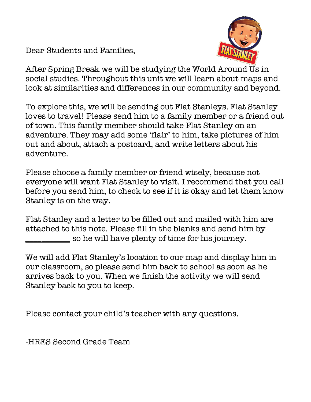Dear Students and Families,



After Spring Break we will be studying the World Around Us in social studies. Throughout this unit we will learn about maps and look at similarities and differences in our community and beyond.

To explore this, we will be sending out Flat Stanleys. Flat Stanley loves to travel! Please send him to a family member or a friend out of town. This family member should take Flat Stanley on an adventure. They may add some 'flair' to him, take pictures of him out and about, attach a postcard, and write letters about his adventure.

Please choose a family member or friend wisely, because not everyone will want Flat Stanley to visit. I recommend that you call before you send him, to check to see if it is okay and let them know Stanley is on the way.

Flat Stanley and a letter to be filled out and mailed with him are attached to this note. Please fill in the blanks and send him by **\_\_\_\_\_\_\_\_\_\_\_** so he will have plenty of time for his journey.

We will add Flat Stanley's location to our map and display him in our classroom, so please send him back to school as soon as he arrives back to you. When we finish the activity we will send Stanley back to you to keep.

Please contact your child's teacher with any questions.

-HRES Second Grade Team